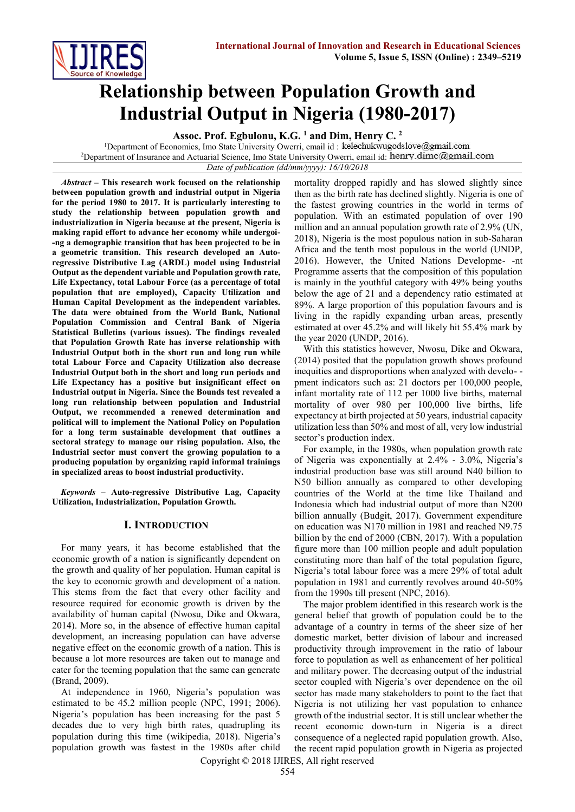

# **Relationship between Population Growth and Industrial Output in Nigeria (1980-2017)**

**Assoc. Prof. Egbulonu, K.G. <sup>1</sup> and Dim, Henry C. <sup>2</sup>**

<sup>1</sup>Department of Economics, Imo State University Owerri, email id: kelechukwugodslove@gmail.com <sup>2</sup>Department of Insurance and Actuarial Science, Imo State University Owerri, email id: henry.dimc@gmail.com *Date of publication (dd/mm/yyyy): 16/10/2018*

*Abstract* **– This research work focused on the relationship between population growth and industrial output in Nigeria for the period 1980 to 2017. It is particularly interesting to study the relationship between population growth and industrialization in Nigeria because at the present, Nigeria is making rapid effort to advance her economy while undergoi- -ng a demographic transition that has been projected to be in a geometric transition. This research developed an Autoregressive Distributive Lag (ARDL) model using Industrial Output as the dependent variable and Population growth rate, Life Expectancy, total Labour Force (as a percentage of total population that are employed), Capacity Utilization and Human Capital Development as the independent variables. The data were obtained from the World Bank, National Population Commission and Central Bank of Nigeria Statistical Bulletins (various issues). The findings revealed that Population Growth Rate has inverse relationship with Industrial Output both in the short run and long run while total Labour Force and Capacity Utilization also decrease Industrial Output both in the short and long run periods and Life Expectancy has a positive but insignificant effect on Industrial output in Nigeria. Since the Bounds test revealed a long run relationship between population and Industrial Output, we recommended a renewed determination and political will to implement the National Policy on Population for a long term sustainable development that outlines a sectoral strategy to manage our rising population. Also, the Industrial sector must convert the growing population to a producing population by organizing rapid informal trainings in specialized areas to boost industrial productivity.**

*Keywords* **– Auto-regressive Distributive Lag, Capacity Utilization, Industrialization, Population Growth.**

# **I. INTRODUCTION**

For many years, it has become established that the economic growth of a nation is significantly dependent on the growth and quality of her population. Human capital is the key to economic growth and development of a nation. This stems from the fact that every other facility and resource required for economic growth is driven by the availability of human capital (Nwosu, Dike and Okwara, 2014). More so, in the absence of effective human capital development, an increasing population can have adverse negative effect on the economic growth of a nation. This is because a lot more resources are taken out to manage and cater for the teeming population that the same can generate (Brand, 2009).

At independence in 1960, Nigeria's population was estimated to be 45.2 million people (NPC, 1991; 2006). Nigeria's population has been increasing for the past 5 decades due to very high birth rates, quadrupling its population during this time (wikipedia, 2018). Nigeria's population growth was fastest in the 1980s after child

mortality dropped rapidly and has slowed slightly since then as the birth rate has declined slightly. Nigeria is one of the fastest growing countries in the world in terms of population. With an estimated population of over 190 million and an annual population growth rate of 2.9% (UN, 2018), Nigeria is the most populous nation in sub-Saharan Africa and the tenth most populous in the world (UNDP, 2016). However, the United Nations Developme- -nt Programme asserts that the composition of this population is mainly in the youthful category with 49% being youths below the age of 21 and a dependency ratio estimated at 89%. A large proportion of this population favours and is living in the rapidly expanding urban areas, presently estimated at over 45.2% and will likely hit 55.4% mark by the year 2020 (UNDP, 2016).

With this statistics however, Nwosu, Dike and Okwara, (2014) posited that the population growth shows profound inequities and disproportions when analyzed with develo- pment indicators such as: 21 doctors per 100,000 people, infant mortality rate of 112 per 1000 live births, maternal mortality of over 980 per 100,000 live births, life expectancy at birth projected at 50 years, industrial capacity utilization less than 50% and most of all, very low industrial sector's production index.

For example, in the 1980s, when population growth rate of Nigeria was exponentially at 2.4% - 3.0%, Nigeria's industrial production base was still around N40 billion to N50 billion annually as compared to other developing countries of the World at the time like Thailand and Indonesia which had industrial output of more than N200 billion annually (Budgit, 2017). Government expenditure on education was N170 million in 1981 and reached N9.75 billion by the end of 2000 (CBN, 2017). With a population figure more than 100 million people and adult population constituting more than half of the total population figure, Nigeria's total labour force was a mere 29% of total adult population in 1981 and currently revolves around 40-50% from the 1990s till present (NPC, 2016).

The major problem identified in this research work is the general belief that growth of population could be to the advantage of a country in terms of the sheer size of her domestic market, better division of labour and increased productivity through improvement in the ratio of labour force to population as well as enhancement of her political and military power. The decreasing output of the industrial sector coupled with Nigeria's over dependence on the oil sector has made many stakeholders to point to the fact that Nigeria is not utilizing her vast population to enhance growth of the industrial sector. It is still unclear whether the recent economic down-turn in Nigeria is a direct consequence of a neglected rapid population growth. Also, the recent rapid population growth in Nigeria as projected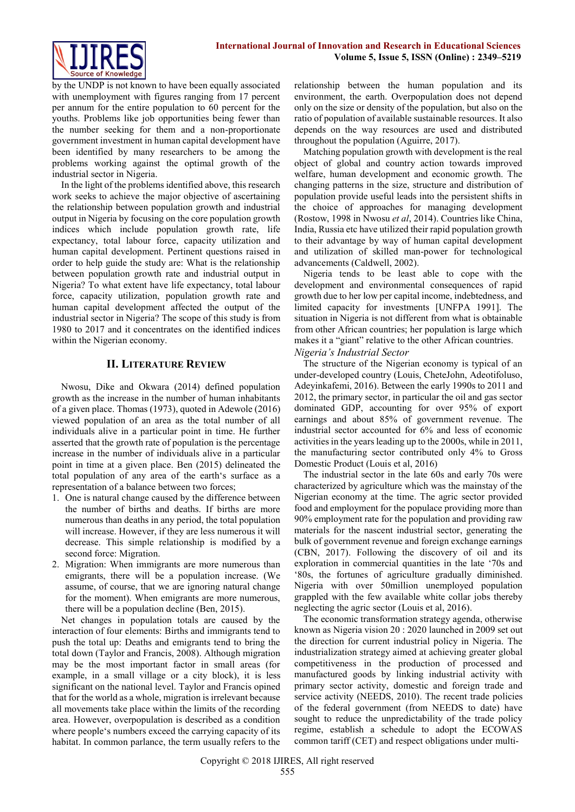by the UNDP is not known to have been equally associated with unemployment with figures ranging from 17 percent per annum for the entire population to 60 percent for the youths. Problems like job opportunities being fewer than the number seeking for them and a non-proportionate government investment in human capital development have been identified by many researchers to be among the problems working against the optimal growth of the industrial sector in Nigeria.

In the light of the problems identified above, this research work seeks to achieve the major objective of ascertaining the relationship between population growth and industrial output in Nigeria by focusing on the core population growth indices which include population growth rate, life expectancy, total labour force, capacity utilization and human capital development. Pertinent questions raised in order to help guide the study are: What is the relationship between population growth rate and industrial output in Nigeria? To what extent have life expectancy, total labour force, capacity utilization, population growth rate and human capital development affected the output of the industrial sector in Nigeria? The scope of this study is from 1980 to 2017 and it concentrates on the identified indices within the Nigerian economy.

# **II. LITERATURE REVIEW**

Nwosu, Dike and Okwara (2014) defined population growth as the increase in the number of human inhabitants of a given place. Thomas (1973), quoted in Adewole (2016) viewed population of an area as the total number of all individuals alive in a particular point in time. He further asserted that the growth rate of population is the percentage increase in the number of individuals alive in a particular point in time at a given place. Ben (2015) delineated the total population of any area of the earth's surface as a representation of a balance between two forces;

- 1. One is natural change caused by the difference between the number of births and deaths. If births are more numerous than deaths in any period, the total population will increase. However, if they are less numerous it will decrease. This simple relationship is modified by a second force: Migration.
- 2. Migration: When immigrants are more numerous than emigrants, there will be a population increase. (We assume, of course, that we are ignoring natural change for the moment). When emigrants are more numerous, there will be a population decline (Ben, 2015).

Net changes in population totals are caused by the interaction of four elements: Births and immigrants tend to push the total up: Deaths and emigrants tend to bring the total down (Taylor and Francis, 2008). Although migration may be the most important factor in small areas (for example, in a small village or a city block), it is less significant on the national level. Taylor and Francis opined that for the world as a whole, migration is irrelevant because all movements take place within the limits of the recording area. However, overpopulation is described as a condition where people's numbers exceed the carrying capacity of its habitat. In common parlance, the term usually refers to the relationship between the human population and its environment, the earth. Overpopulation does not depend only on the size or density of the population, but also on the ratio of population of available sustainable resources. It also depends on the way resources are used and distributed throughout the population (Aguirre, 2017).

Matching population growth with development is the real object of global and country action towards improved welfare, human development and economic growth. The changing patterns in the size, structure and distribution of population provide useful leads into the persistent shifts in the choice of approaches for managing development (Rostow, 1998 in Nwosu *et al*, 2014). Countries like China, India, Russia etc have utilized their rapid population growth to their advantage by way of human capital development and utilization of skilled man-power for technological advancements (Caldwell, 2002).

Nigeria tends to be least able to cope with the development and environmental consequences of rapid growth due to her low per capital income, indebtedness, and limited capacity for investments [UNFPA 1991]. The situation in Nigeria is not different from what is obtainable from other African countries; her population is large which makes it a "giant" relative to the other African countries.

# *Nigeria's Industrial Sector*

The structure of the Nigerian economy is typical of an under-developed country (Louis, CheteJohn, Adeotifoluso, Adeyinkafemi, 2016). Between the early 1990s to 2011 and 2012, the primary sector, in particular the oil and gas sector dominated GDP, accounting for over 95% of export earnings and about 85% of government revenue. The industrial sector accounted for 6% and less of economic activities in the years leading up to the 2000s, while in 2011, the manufacturing sector contributed only 4% to Gross Domestic Product (Louis et al, 2016)

The industrial sector in the late 60s and early 70s were characterized by agriculture which was the mainstay of the Nigerian economy at the time. The agric sector provided food and employment for the populace providing more than 90% employment rate for the population and providing raw materials for the nascent industrial sector, generating the bulk of government revenue and foreign exchange earnings (CBN, 2017). Following the discovery of oil and its exploration in commercial quantities in the late '70s and '80s, the fortunes of agriculture gradually diminished. Nigeria with over 50million unemployed population grappled with the few available white collar jobs thereby neglecting the agric sector (Louis et al, 2016).

The economic transformation strategy agenda, otherwise known as Nigeria vision 20 : 2020 launched in 2009 set out the direction for current industrial policy in Nigeria. The industrialization strategy aimed at achieving greater global competitiveness in the production of processed and manufactured goods by linking industrial activity with primary sector activity, domestic and foreign trade and service activity (NEEDS, 2010). The recent trade policies of the federal government (from NEEDS to date) have sought to reduce the unpredictability of the trade policy regime, establish a schedule to adopt the ECOWAS common tariff (CET) and respect obligations under multi-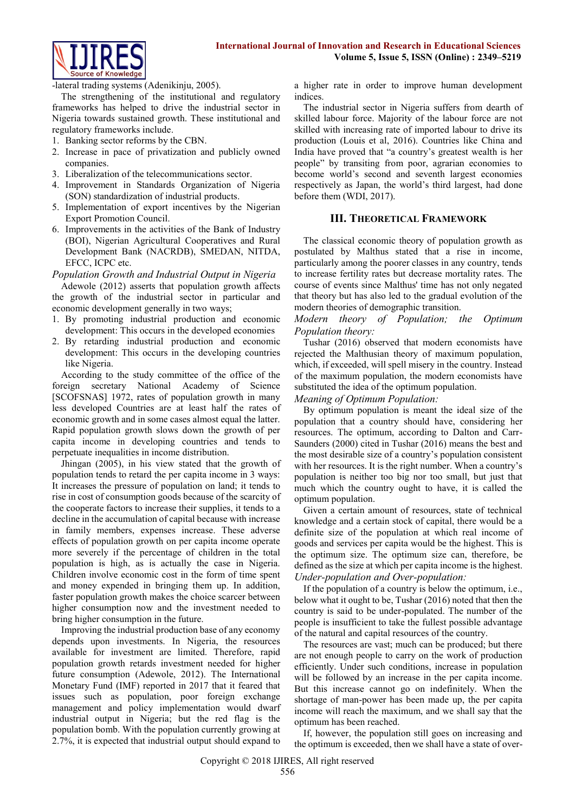

-lateral trading systems (Adenikinju, 2005).

The strengthening of the institutional and regulatory frameworks has helped to drive the industrial sector in Nigeria towards sustained growth. These institutional and regulatory frameworks include.

- 1. Banking sector reforms by the CBN.
- 2. Increase in pace of privatization and publicly owned companies.
- 3. Liberalization of the telecommunications sector.
- 4. Improvement in Standards Organization of Nigeria (SON) standardization of industrial products.
- 5. Implementation of export incentives by the Nigerian Export Promotion Council.
- 6. Improvements in the activities of the Bank of Industry (BOI), Nigerian Agricultural Cooperatives and Rural Development Bank (NACRDB), SMEDAN, NITDA, EFCC, ICPC etc.

*Population Growth and Industrial Output in Nigeria*

Adewole (2012) asserts that population growth affects the growth of the industrial sector in particular and economic development generally in two ways;

- 1. By promoting industrial production and economic development: This occurs in the developed economies
- 2. By retarding industrial production and economic development: This occurs in the developing countries like Nigeria.

According to the study committee of the office of the foreign secretary National Academy of Science [SCOFSNAS] 1972, rates of population growth in many less developed Countries are at least half the rates of economic growth and in some cases almost equal the latter. Rapid population growth slows down the growth of per capita income in developing countries and tends to perpetuate inequalities in income distribution.

Jhingan (2005), in his view stated that the growth of population tends to retard the per capita income in 3 ways: It increases the pressure of population on land; it tends to rise in cost of consumption goods because of the scarcity of the cooperate factors to increase their supplies, it tends to a decline in the accumulation of capital because with increase in family members, expenses increase. These adverse effects of population growth on per capita income operate more severely if the percentage of children in the total population is high, as is actually the case in Nigeria. Children involve economic cost in the form of time spent and money expended in bringing them up. In addition, faster population growth makes the choice scarcer between higher consumption now and the investment needed to bring higher consumption in the future.

Improving the industrial production base of any economy depends upon investments. In Nigeria, the resources available for investment are limited. Therefore, rapid population growth retards investment needed for higher future consumption (Adewole, 2012). The International Monetary Fund (IMF) reported in 2017 that it feared that issues such as population, poor foreign exchange management and policy implementation would dwarf industrial output in Nigeria; but the red flag is the population bomb. With the population currently growing at 2.7%, it is expected that industrial output should expand to

a higher rate in order to improve human development indices.

The industrial sector in Nigeria suffers from dearth of skilled labour force. Majority of the labour force are not skilled with increasing rate of imported labour to drive its production (Louis et al, 2016). Countries like China and India have proved that "a country's greatest wealth is her people" by transiting from poor, agrarian economies to become world's second and seventh largest economies respectively as Japan, the world's third largest, had done before them (WDI, 2017).

# **III. THEORETICAL FRAMEWORK**

The classical economic theory of population growth as postulated by Malthus stated that a rise in income, particularly among the poorer classes in any country, tends to increase fertility rates but decrease mortality rates. The course of events since Malthus' time has not only negated that theory but has also led to the gradual evolution of the modern theories of demographic transition.

#### *Modern theory of Population; the Optimum Population theory:*

Tushar (2016) observed that modern economists have rejected the Malthusian theory of maximum population, which, if exceeded, will spell misery in the country. Instead of the maximum population, the modern economists have substituted the idea of the optimum population.

*Meaning of Optimum Population:*

By optimum population is meant the ideal size of the population that a country should have, considering her resources. The optimum, according to Dalton and Carr-Saunders (2000) cited in Tushar (2016) means the best and the most desirable size of a country's population consistent with her resources. It is the right number. When a country's population is neither too big nor too small, but just that much which the country ought to have, it is called the optimum population.

Given a certain amount of resources, state of technical knowledge and a certain stock of capital, there would be a definite size of the population at which real income of goods and services per capita would be the highest. This is the optimum size. The optimum size can, therefore, be defined as the size at which per capita income is the highest. *Under-population and Over-population:*

If the population of a country is below the optimum, i.e., below what it ought to be, Tushar (2016) noted that then the country is said to be under-populated. The number of the people is insufficient to take the fullest possible advantage of the natural and capital resources of the country.

The resources are vast; much can be produced; but there are not enough people to carry on the work of production efficiently. Under such conditions, increase in population will be followed by an increase in the per capita income. But this increase cannot go on indefinitely. When the shortage of man-power has been made up, the per capita income will reach the maximum, and we shall say that the optimum has been reached.

If, however, the population still goes on increasing and the optimum is exceeded, then we shall have a state of over-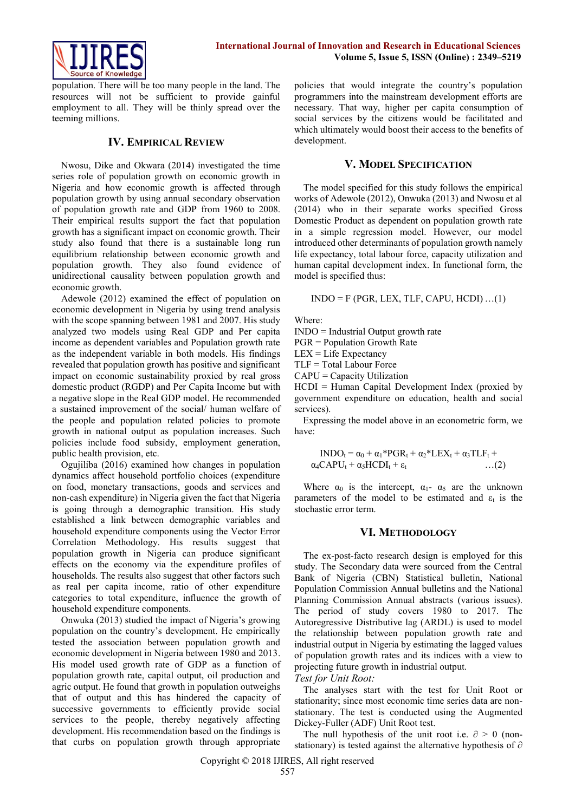

population. There will be too many people in the land. The resources will not be sufficient to provide gainful employment to all. They will be thinly spread over the teeming millions.

#### **IV. EMPIRICAL REVIEW**

Nwosu, Dike and Okwara (2014) investigated the time series role of population growth on economic growth in Nigeria and how economic growth is affected through population growth by using annual secondary observation of population growth rate and GDP from 1960 to 2008. Their empirical results support the fact that population growth has a significant impact on economic growth. Their study also found that there is a sustainable long run equilibrium relationship between economic growth and population growth. They also found evidence of unidirectional causality between population growth and economic growth.

Adewole (2012) examined the effect of population on economic development in Nigeria by using trend analysis with the scope spanning between 1981 and 2007. His study analyzed two models using Real GDP and Per capita income as dependent variables and Population growth rate as the independent variable in both models. His findings revealed that population growth has positive and significant impact on economic sustainability proxied by real gross domestic product (RGDP) and Per Capita Income but with a negative slope in the Real GDP model. He recommended a sustained improvement of the social/ human welfare of the people and population related policies to promote growth in national output as population increases. Such policies include food subsidy, employment generation, public health provision, etc.

Ogujiliba (2016) examined how changes in population dynamics affect household portfolio choices (expenditure on food, monetary transactions, goods and services and non-cash expenditure) in Nigeria given the fact that Nigeria is going through a demographic transition. His study established a link between demographic variables and household expenditure components using the Vector Error Correlation Methodology. His results suggest that population growth in Nigeria can produce significant effects on the economy via the expenditure profiles of households. The results also suggest that other factors such as real per capita income, ratio of other expenditure categories to total expenditure, influence the growth of household expenditure components.

Onwuka (2013) studied the impact of Nigeria's growing population on the country's development. He empirically tested the association between population growth and economic development in Nigeria between 1980 and 2013. His model used growth rate of GDP as a function of population growth rate, capital output, oil production and agric output. He found that growth in population outweighs that of output and this has hindered the capacity of successive governments to efficiently provide social services to the people, thereby negatively affecting development. His recommendation based on the findings is that curbs on population growth through appropriate

policies that would integrate the country's population programmers into the mainstream development efforts are necessary. That way, higher per capita consumption of social services by the citizens would be facilitated and which ultimately would boost their access to the benefits of development.

#### **V. MODEL SPECIFICATION**

The model specified for this study follows the empirical works of Adewole (2012), Onwuka (2013) and Nwosu et al (2014) who in their separate works specified Gross Domestic Product as dependent on population growth rate in a simple regression model. However, our model introduced other determinants of population growth namely life expectancy, total labour force, capacity utilization and human capital development index. In functional form, the model is specified thus:

 $INDO = F (PGR, LEX, TLF, CAPU, HCDI) ... (1)$ 

Where:

INDO = Industrial Output growth rate

PGR = Population Growth Rate

 $LEX = Life$  Expectancy

TLF = Total Labour Force

CAPU = Capacity Utilization

HCDI = Human Capital Development Index (proxied by government expenditure on education, health and social services).

Expressing the model above in an econometric form, we have:

$$
INDO_t = \alpha_0 + \alpha_1 * PGR_t + \alpha_2 * LEX_t + \alpha_3 TLF_t + \alpha_4 CAPU_t + \alpha_5 HCDI_t + \epsilon_t \qquad \dots (2)
$$

Where  $\alpha_0$  is the intercept,  $\alpha_1$ -  $\alpha_5$  are the unknown parameters of the model to be estimated and  $\varepsilon_t$  is the stochastic error term.

#### **VI. METHODOLOGY**

The ex-post-facto research design is employed for this study. The Secondary data were sourced from the Central Bank of Nigeria (CBN) Statistical bulletin, National Population Commission Annual bulletins and the National Planning Commission Annual abstracts (various issues). The period of study covers 1980 to 2017. The Autoregressive Distributive lag (ARDL) is used to model the relationship between population growth rate and industrial output in Nigeria by estimating the lagged values of population growth rates and its indices with a view to projecting future growth in industrial output.

#### *Test for Unit Root:*

The analyses start with the test for Unit Root or stationarity; since most economic time series data are nonstationary. The test is conducted using the Augmented Dickey-Fuller (ADF) Unit Root test.

The null hypothesis of the unit root i.e.  $\partial > 0$  (nonstationary) is tested against the alternative hypothesis of ∂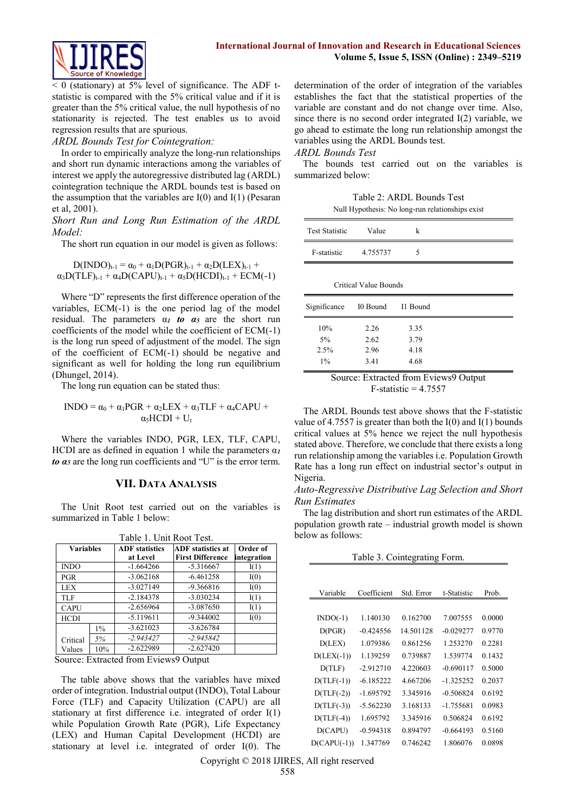

 $< 0$  (stationary) at 5% level of significance. The ADF tstatistic is compared with the 5% critical value and if it is greater than the 5% critical value, the null hypothesis of no stationarity is rejected. The test enables us to avoid regression results that are spurious.

#### *ARDL Bounds Test for Cointegration:*

In order to empirically analyze the long-run relationships and short run dynamic interactions among the variables of interest we apply the autoregressive distributed lag (ARDL) cointegration technique the ARDL bounds test is based on the assumption that the variables are I(0) and I(1) (Pesaran et al, 2001).

*Short Run and Long Run Estimation of the ARDL Model:* 

The short run equation in our model is given as follows:

$$
D(INDO)_{t-1} = \alpha_0 + \alpha_1 D(PGR)_{t-1} + \alpha_2 D(LEX)_{t-1} + \alpha_3 D(TLF)_{t-1} + \alpha_4 D(CAPU)_{t-1} + \alpha_5 D(HCDI)_{t-1} + ECM(-1)
$$

Where "D" represents the first difference operation of the variables, ECM(-1) is the one period lag of the model residual. The parameters  $\alpha_I$  *to*  $\alpha_5$  are the short run coefficients of the model while the coefficient of ECM(-1) is the long run speed of adjustment of the model. The sign of the coefficient of ECM(-1) should be negative and significant as well for holding the long run equilibrium (Dhungel, 2014).

The long run equation can be stated thus:

$$
INDO = \alpha_0 + \alpha_1 PGR + \alpha_2 LEX + \alpha_3 TLF + \alpha_4 CAPU +
$$
  

$$
\alpha_3 HCDI + U_t
$$

Where the variables INDO, PGR, LEX, TLF, CAPU, HCDI are as defined in equation 1 while the parameters α*<sup>1</sup> to α<sup>5</sup>* are the long run coefficients and "U" is the error term.

#### **VII. DATA ANALYSIS**

The Unit Root test carried out on the variables is summarized in Table 1 below:

| Table 1. Unit Root Test. |       |                       |                          |             |  |
|--------------------------|-------|-----------------------|--------------------------|-------------|--|
| <b>Variables</b>         |       | <b>ADF</b> statistics | <b>ADF</b> statistics at | Order of    |  |
|                          |       | at Level              | <b>First Difference</b>  | integration |  |
| <b>INDO</b>              |       | $-1.664266$           | $-5.316667$              | I(1)        |  |
| <b>PGR</b>               |       | $-3.062168$           | $-6.461258$              | I(0)        |  |
| LEX                      |       | $-3.027149$           | $-9.366816$              | I(0)        |  |
| TLF                      |       | $-2.184378$           | $-3.030234$              | I(1)        |  |
| <b>CAPU</b>              |       | $-2.656964$           | $-3.087650$              | I(1)        |  |
| <b>HCDI</b>              |       | $-5.119611$           | $-9.344002$              | I(0)        |  |
|                          | $1\%$ | $-3.621023$           | $-3.626784$              |             |  |
| Critical                 | 5%    | $-2.943427$           | $-2.945842$              |             |  |
| Values                   | 10%   | $-2.622989$           | $-2.627420$              |             |  |

Source: Extracted from Eviews9 Output

The table above shows that the variables have mixed order of integration. Industrial output (INDO), Total Labour Force (TLF) and Capacity Utilization (CAPU) are all stationary at first difference i.e. integrated of order I(1) while Population Growth Rate (PGR), Life Expectancy (LEX) and Human Capital Development (HCDI) are stationary at level i.e. integrated of order I(0). The

determination of the order of integration of the variables establishes the fact that the statistical properties of the variable are constant and do not change over time. Also, since there is no second order integrated I(2) variable, we go ahead to estimate the long run relationship amongst the variables using the ARDL Bounds test.

# *ARDL Bounds Test*

The bounds test carried out on the variables is summarized below:

| Table 2: ARDL Bounds Test                        |
|--------------------------------------------------|
| Null Hypothesis: No long-run relationships exist |

| <b>Test Statistic</b> | Value                 | k        |  |
|-----------------------|-----------------------|----------|--|
| F-statistic           | 4.755737              | 5        |  |
|                       |                       |          |  |
|                       | Critical Value Bounds |          |  |
| Significance          | I0 Bound              | I1 Bound |  |
| 10%                   | 2.26                  | 3.35     |  |
|                       |                       |          |  |
| 5%                    | 2.62                  | 3.79     |  |
| 2.5%                  | 2.96                  | 4.18     |  |

Source: Extracted from Eviews9 Output F-statistic  $= 4.7557$ 

The ARDL Bounds test above shows that the F-statistic value of 4.7557 is greater than both the  $I(0)$  and  $I(1)$  bounds critical values at 5% hence we reject the null hypothesis stated above. Therefore, we conclude that there exists a long run relationship among the variables i.e. Population Growth Rate has a long run effect on industrial sector's output in Nigeria.

#### *Auto-Regressive Distributive Lag Selection and Short Run Estimates*

The lag distribution and short run estimates of the ARDL population growth rate – industrial growth model is shown below as follows:

Table 3. Cointegrating Form.

| Variable      | Coefficient | Std. Error | t-Statistic | Prob.  |
|---------------|-------------|------------|-------------|--------|
|               |             |            |             |        |
| $INDO(-1)$    | 1.140130    | 0.162700   | 7.007555    | 0.0000 |
| D(PGR)        | $-0.424556$ | 14.501128  | $-0.029277$ | 0.9770 |
| D(LEX)        | 1.079386    | 0.861256   | 1.253270    | 0.2281 |
| $D(LEX(-1))$  | 1.139259    | 0.739887   | 1.539774    | 0.1432 |
| D(TLF)        | $-2.912710$ | 4.220603   | $-0.690117$ | 0.5000 |
| $D(TLF(-1))$  | $-6.185222$ | 4.667206   | $-1.325252$ | 0.2037 |
| $D(TLF(-2))$  | $-1.695792$ | 3.345916   | $-0.506824$ | 0.6192 |
| $D(TLF(-3))$  | $-5.562230$ | 3.168133   | -1.755681   | 0.0983 |
| $D(TLF(-4))$  | 1.695792    | 3.345916   | 0.506824    | 0.6192 |
| D(CAPU)       | $-0.594318$ | 0.894797   | $-0.664193$ | 0.5160 |
| $D(CAPU(-1))$ | 1.347769    | 0.746242   | 1.806076    | 0.0898 |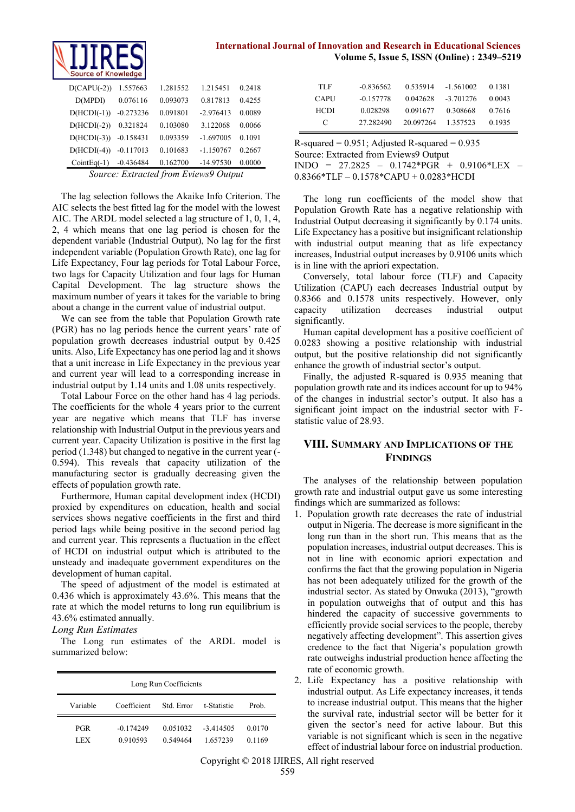

| <b>International Journal of Innovation and Research in Educational Sciences</b> |  |                                              |  |
|---------------------------------------------------------------------------------|--|----------------------------------------------|--|
|                                                                                 |  | Volume 5, Issue 5, ISSN (Online) : 2349-5219 |  |

| $D(CAPU(-2))$ | 1.557663    | 1.281552 | 1.215451    | 0.2418 |  |
|---------------|-------------|----------|-------------|--------|--|
| D(MPDI)       | 0.076116    | 0.093073 | 0.817813    | 0.4255 |  |
| $D(HCDI(-1))$ | $-0.273236$ | 0.091801 | $-2.976413$ | 0.0089 |  |
| $D(HCDI(-2))$ | 0.321824    | 0.103080 | 3.122068    | 0.0066 |  |
| $D(HCDI(-3))$ | $-0.158431$ | 0.093359 | $-1.697005$ | 0.1091 |  |
| $D(HCDI(-4))$ | $-0.117013$ | 0.101683 | $-1.150767$ | 0.2667 |  |
| $CointEq(-1)$ | $-0.436484$ | 0.162700 | $-14.97530$ | 0.0000 |  |
|               |             |          |             |        |  |

*Source: Extracted from Eviews9 Output*

The lag selection follows the Akaike Info Criterion. The AIC selects the best fitted lag for the model with the lowest AIC. The ARDL model selected a lag structure of 1, 0, 1, 4, 2, 4 which means that one lag period is chosen for the dependent variable (Industrial Output), No lag for the first independent variable (Population Growth Rate), one lag for Life Expectancy, Four lag periods for Total Labour Force, two lags for Capacity Utilization and four lags for Human Capital Development. The lag structure shows the maximum number of years it takes for the variable to bring about a change in the current value of industrial output.

We can see from the table that Population Growth rate (PGR) has no lag periods hence the current years' rate of population growth decreases industrial output by 0.425 units. Also, Life Expectancy has one period lag and it shows that a unit increase in Life Expectancy in the previous year and current year will lead to a corresponding increase in industrial output by 1.14 units and 1.08 units respectively.

Total Labour Force on the other hand has 4 lag periods. The coefficients for the whole 4 years prior to the current year are negative which means that TLF has inverse relationship with Industrial Output in the previous years and current year. Capacity Utilization is positive in the first lag period (1.348) but changed to negative in the current year (- 0.594). This reveals that capacity utilization of the manufacturing sector is gradually decreasing given the effects of population growth rate.

Furthermore, Human capital development index (HCDI) proxied by expenditures on education, health and social services shows negative coefficients in the first and third period lags while being positive in the second period lag and current year. This represents a fluctuation in the effect of HCDI on industrial output which is attributed to the unsteady and inadequate government expenditures on the development of human capital.

The speed of adjustment of the model is estimated at 0.436 which is approximately 43.6%. This means that the rate at which the model returns to long run equilibrium is 43.6% estimated annually.

#### *Long Run Estimates*

The Long run estimates of the ARDL model is summarized below:

| Long Run Coefficients |                                                  |                      |                        |                  |  |  |
|-----------------------|--------------------------------------------------|----------------------|------------------------|------------------|--|--|
| Variable              | Coefficient<br>Std. Error<br>t-Statistic<br>Prob |                      |                        |                  |  |  |
| <b>PGR</b><br>LEX     | $-0.174249$<br>0.910593                          | 0.051032<br>0.549464 | $-3414505$<br>1.657239 | 0.0170<br>0.1169 |  |  |

| TLF         | $-0.836562$ | 0.535914  | $-1.561002$ | 0.1381 |
|-------------|-------------|-----------|-------------|--------|
| <b>CAPU</b> | $-0.157778$ | 0.042628  | $-3.701276$ | 0.0043 |
| <b>HCDI</b> | 0.028298    | 0.091677  | 0.308668    | 0.7616 |
| €           | 27.282490   | 20 097264 | 1.357523    | 0.1935 |

R-squared =  $0.951$ ; Adjusted R-squared =  $0.935$ Source: Extracted from Eviews9 Output INDO = 27.2825 – 0.1742\*PGR + 0.9106\*LEX – 0.8366\*TLF – 0.1578\*CAPU + 0.0283\*HCDI

The long run coefficients of the model show that Population Growth Rate has a negative relationship with Industrial Output decreasing it significantly by 0.174 units. Life Expectancy has a positive but insignificant relationship with industrial output meaning that as life expectancy increases, Industrial output increases by 0.9106 units which is in line with the apriori expectation.

Conversely, total labour force (TLF) and Capacity Utilization (CAPU) each decreases Industrial output by 0.8366 and 0.1578 units respectively. However, only capacity utilization decreases industrial output significantly.

Human capital development has a positive coefficient of 0.0283 showing a positive relationship with industrial output, but the positive relationship did not significantly enhance the growth of industrial sector's output.

Finally, the adjusted R-squared is 0.935 meaning that population growth rate and its indices account for up to 94% of the changes in industrial sector's output. It also has a significant joint impact on the industrial sector with Fstatistic value of 28.93.

# **VIII. SUMMARY AND IMPLICATIONS OF THE FINDINGS**

The analyses of the relationship between population growth rate and industrial output gave us some interesting findings which are summarized as follows:

- 1. Population growth rate decreases the rate of industrial output in Nigeria. The decrease is more significant in the long run than in the short run. This means that as the population increases, industrial output decreases. This is not in line with economic apriori expectation and confirms the fact that the growing population in Nigeria has not been adequately utilized for the growth of the industrial sector. As stated by Onwuka (2013), "growth in population outweighs that of output and this has hindered the capacity of successive governments to efficiently provide social services to the people, thereby negatively affecting development". This assertion gives credence to the fact that Nigeria's population growth rate outweighs industrial production hence affecting the rate of economic growth.
- 2. Life Expectancy has a positive relationship with industrial output. As Life expectancy increases, it tends to increase industrial output. This means that the higher the survival rate, industrial sector will be better for it given the sector's need for active labour. But this variable is not significant which is seen in the negative effect of industrial labour force on industrial production.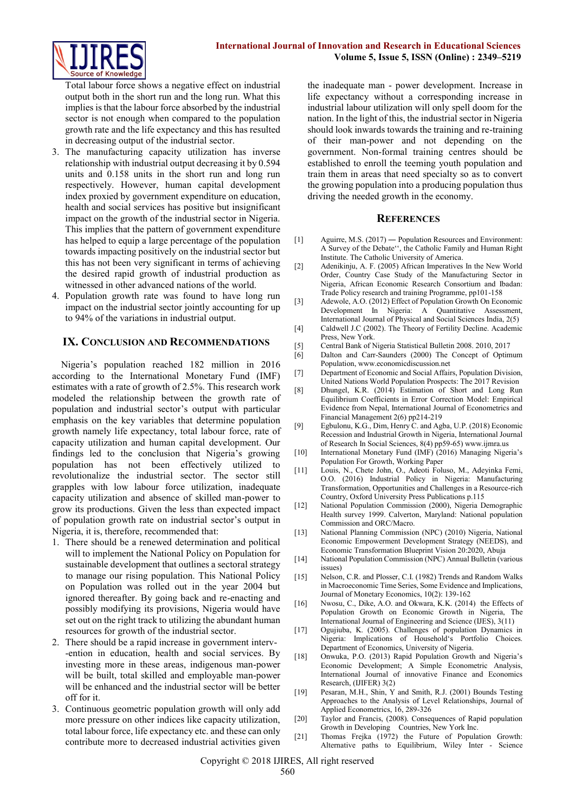

Total labour force shows a negative effect on industrial output both in the short run and the long run. What this implies is that the labour force absorbed by the industrial sector is not enough when compared to the population growth rate and the life expectancy and this has resulted in decreasing output of the industrial sector.

- 3. The manufacturing capacity utilization has inverse relationship with industrial output decreasing it by 0.594 units and 0.158 units in the short run and long run respectively. However, human capital development index proxied by government expenditure on education, health and social services has positive but insignificant impact on the growth of the industrial sector in Nigeria. This implies that the pattern of government expenditure has helped to equip a large percentage of the population towards impacting positively on the industrial sector but this has not been very significant in terms of achieving the desired rapid growth of industrial production as witnessed in other advanced nations of the world.
- 4. Population growth rate was found to have long run impact on the industrial sector jointly accounting for up to 94% of the variations in industrial output.

# **IX. CONCLUSION AND RECOMMENDATIONS**

Nigeria's population reached 182 million in 2016 according to the International Monetary Fund (IMF) estimates with a rate of growth of 2.5%. This research work modeled the relationship between the growth rate of population and industrial sector's output with particular emphasis on the key variables that determine population growth namely life expectancy, total labour force, rate of capacity utilization and human capital development. Our findings led to the conclusion that Nigeria's growing population has not been effectively utilized to revolutionalize the industrial sector. The sector still grapples with low labour force utilization, inadequate capacity utilization and absence of skilled man-power to grow its productions. Given the less than expected impact of population growth rate on industrial sector's output in Nigeria, it is, therefore, recommended that:

- 1. There should be a renewed determination and political will to implement the National Policy on Population for sustainable development that outlines a sectoral strategy to manage our rising population. This National Policy on Population was rolled out in the year 2004 but ignored thereafter. By going back and re-enacting and possibly modifying its provisions, Nigeria would have set out on the right track to utilizing the abundant human resources for growth of the industrial sector.
- 2. There should be a rapid increase in government interv- -ention in education, health and social services. By investing more in these areas, indigenous man-power will be built, total skilled and employable man-power will be enhanced and the industrial sector will be better off for it.
- 3. Continuous geometric population growth will only add more pressure on other indices like capacity utilization, total labour force, life expectancy etc. and these can only contribute more to decreased industrial activities given

the inadequate man - power development. Increase in life expectancy without a corresponding increase in industrial labour utilization will only spell doom for the nation. In the light of this, the industrial sector in Nigeria should look inwards towards the training and re-training of their man-power and not depending on the government. Non-formal training centres should be established to enroll the teeming youth population and train them in areas that need specialty so as to convert the growing population into a producing population thus driving the needed growth in the economy.

#### **REFERENCES**

- [1] Aguirre, M.S. (2017) ― Population Resources and Environment: A Survey of the Debate'', the Catholic Family and Human Right Institute. The Catholic University of America.
- [2] Adenikinju, A. F. (2005) African Imperatives In the New World Order, Country Case Study of the Manufacturing Sector in Nigeria, African Economic Research Consortium and Ibadan: Trade Policy research and training Programme, pp101-158
- [3] Adewole, A.O. (2012) Effect of Population Growth On Economic Development In Nigeria: A Quantitative Assessment, International Journal of Physical and Social Sciences India, 2(5)
- [4] Caldwell J.C (2002). The Theory of Fertility Decline. Academic Press, New York.
- [5] Central Bank of Nigeria Statistical Bulletin 2008. 2010, 2017
- Dalton and Carr-Saunders (2000) The Concept of Optimum Population[, www.economicdiscussion.net](http://www.economicdiscussion.net/)
- [7] Department of Economic and Social Affairs, Population Division, United Nations World Population Prospects: The 2017 Revision
- [8] Dhungel, K.R. (2014) Estimation of Short and Long Run Equilibrium Coefficients in Error Correction Model: Empirical Evidence from Nepal, International Journal of Econometrics and Financial Management 2(6) pp214-219
- [9] Egbulonu, K.G., Dim, Henry C. and Agba, U.P. (2018) Economic Recession and Industrial Growth in Nigeria, International Journal of Research In Social Sciences, 8(4) pp59-65[\) www.ijmra.us](http://www.ijmra.us/)
- [10] International Monetary Fund (IMF) (2016) Managing Nigeria's Population For Growth, Working Paper
- [11] Louis, N., Chete John, O., Adeoti Foluso, M., Adeyinka Femi, O.O. (2016) Industrial Policy in Nigeria: Manufacturing Transformation, Opportunities and Challenges in a Resource-rich Country, Oxford University Press Publications p.115
- [12] National Population Commission (2000), Nigeria Demographic Health survey 1999. Calverton, Maryland: National population Commission and ORC/Macro.
- [13] National Planning Commission (NPC) (2010) Nigeria, National Economic Empowerment Development Strategy (NEEDS), and Economic Transformation Blueprint Vision 20:2020, Abuja
- [14] National Population Commission (NPC) Annual Bulletin (various issues)
- [15] Nelson, C.R. and Plosser, C.I. (1982) Trends and Random Walks in Macroeconomic Time Series, Some Evidence and Implications, Journal of Monetary Economics, 10(2): 139-162
- [16] Nwosu, C., Dike, A.O. and Okwara, K.K. (2014) the Effects of Population Growth on Economic Growth in Nigeria, The International Journal of Engineering and Science (IJES), 3(11)
- [17] Ogujiuba, K. (2005). Challenges of population Dynamics in Nigeria: Implications of Household's Portfolio Choices. Department of Economics, University of Nigeria.
- [18] Onwuka, P.O. (2013) Rapid Population Growth and Nigeria's Economic Development; A Simple Econometric Analysis, International Journal of innovative Finance and Economics Research, (IJIFER) 3(2)
- [19] Pesaran, M.H., Shin, Y and Smith, R.J. (2001) Bounds Testing Approaches to the Analysis of Level Relationships, Journal of Applied Econometrics, 16, 289-326
- [20] Taylor and Francis, (2008). Consequences of Rapid population Growth in Developing Countries, New York Inc.
- [21] Thomas Frejka (1972) the Future of Population Growth: Alternative paths to Equilibrium, Wiley Inter - Science